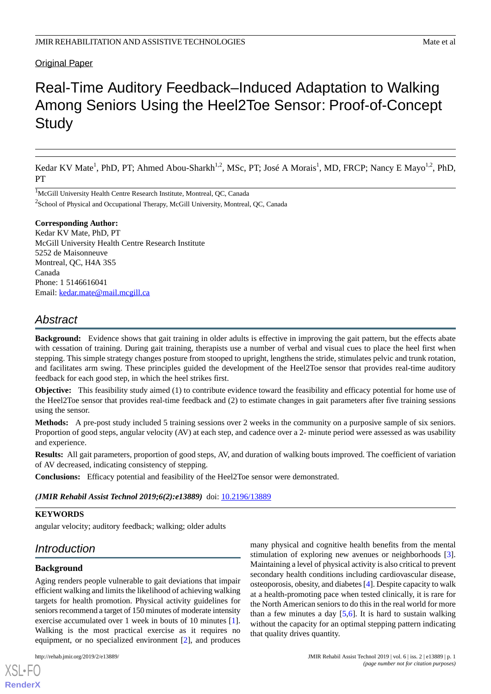## Original Paper

# Real-Time Auditory Feedback–Induced Adaptation to Walking Among Seniors Using the Heel2Toe Sensor: Proof-of-Concept **Study**

Kedar KV Mate<sup>1</sup>, PhD, PT; Ahmed Abou-Sharkh<sup>1,2</sup>, MSc, PT; José A Morais<sup>1</sup>, MD, FRCP; Nancy E Mayo<sup>1,2</sup>, PhD, PT

<sup>1</sup>McGill University Health Centre Research Institute, Montreal, QC, Canada  $2$ School of Physical and Occupational Therapy, McGill University, Montreal, QC, Canada

#### **Corresponding Author:**

Kedar KV Mate, PhD, PT McGill University Health Centre Research Institute 5252 de Maisonneuve Montreal, QC, H4A 3S5 Canada Phone: 1 5146616041 Email: [kedar.mate@mail.mcgill.ca](mailto:kedar.mate@mail.mcgill.ca)

# *Abstract*

**Background:** Evidence shows that gait training in older adults is effective in improving the gait pattern, but the effects abate with cessation of training. During gait training, therapists use a number of verbal and visual cues to place the heel first when stepping. This simple strategy changes posture from stooped to upright, lengthens the stride, stimulates pelvic and trunk rotation, and facilitates arm swing. These principles guided the development of the Heel2Toe sensor that provides real-time auditory feedback for each good step, in which the heel strikes first.

**Objective:** This feasibility study aimed (1) to contribute evidence toward the feasibility and efficacy potential for home use of the Heel2Toe sensor that provides real-time feedback and (2) to estimate changes in gait parameters after five training sessions using the sensor.

**Methods:** A pre-post study included 5 training sessions over 2 weeks in the community on a purposive sample of six seniors. Proportion of good steps, angular velocity (AV) at each step, and cadence over a 2- minute period were assessed as was usability and experience.

**Results:** All gait parameters, proportion of good steps, AV, and duration of walking bouts improved. The coefficient of variation of AV decreased, indicating consistency of stepping.

**Conclusions:** Efficacy potential and feasibility of the Heel2Toe sensor were demonstrated.

*(JMIR Rehabil Assist Technol 2019;6(2):e13889)* doi: [10.2196/13889](http://dx.doi.org/10.2196/13889)

## **KEYWORDS**

angular velocity; auditory feedback; walking; older adults

# *Introduction*

## **Background**

[XSL](http://www.w3.org/Style/XSL)•FO **[RenderX](http://www.renderx.com/)**

Aging renders people vulnerable to gait deviations that impair efficient walking and limits the likelihood of achieving walking targets for health promotion. Physical activity guidelines for seniors recommend a target of 150 minutes of moderate intensity exercise accumulated over 1 week in bouts of 10 minutes [[1\]](#page-7-0). Walking is the most practical exercise as it requires no equipment, or no specialized environment [[2\]](#page-7-1), and produces

many physical and cognitive health benefits from the mental stimulation of exploring new avenues or neighborhoods [[3\]](#page-7-2). Maintaining a level of physical activity is also critical to prevent secondary health conditions including cardiovascular disease, osteoporosis, obesity, and diabetes [\[4\]](#page-7-3). Despite capacity to walk at a health-promoting pace when tested clinically, it is rare for the North American seniors to do this in the real world for more than a few minutes a day  $[5,6]$  $[5,6]$  $[5,6]$ . It is hard to sustain walking without the capacity for an optimal stepping pattern indicating that quality drives quantity.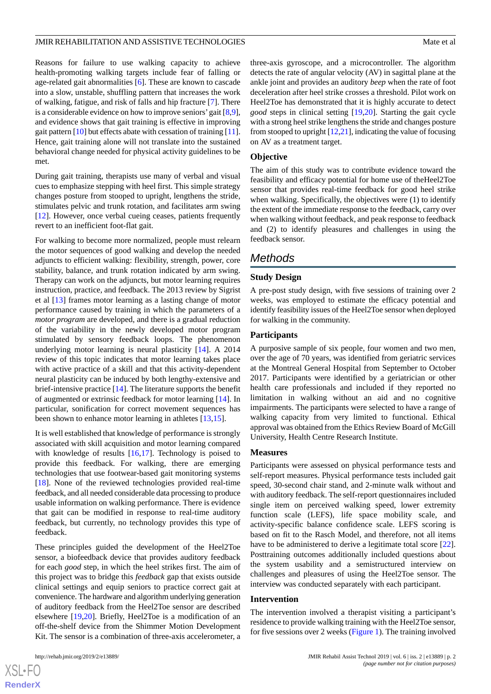Reasons for failure to use walking capacity to achieve health-promoting walking targets include fear of falling or age-related gait abnormalities [[6\]](#page-7-5). These are known to cascade into a slow, unstable, shuffling pattern that increases the work of walking, fatigue, and risk of falls and hip fracture [\[7](#page-7-6)]. There is a considerable evidence on how to improve seniors'gait [[8](#page-7-7),[9\]](#page-7-8), and evidence shows that gait training is effective in improving gait pattern [[10\]](#page-7-9) but effects abate with cessation of training [\[11\]](#page-7-10). Hence, gait training alone will not translate into the sustained behavioral change needed for physical activity guidelines to be met.

During gait training, therapists use many of verbal and visual cues to emphasize stepping with heel first. This simple strategy changes posture from stooped to upright, lengthens the stride, stimulates pelvic and trunk rotation, and facilitates arm swing [[12\]](#page-7-11). However, once verbal cueing ceases, patients frequently revert to an inefficient foot-flat gait.

For walking to become more normalized, people must relearn the motor sequences of good walking and develop the needed adjuncts to efficient walking: flexibility, strength, power, core stability, balance, and trunk rotation indicated by arm swing. Therapy can work on the adjuncts, but motor learning requires instruction, practice, and feedback. The 2013 review by Sigrist et al [\[13](#page-7-12)] frames motor learning as a lasting change of motor performance caused by training in which the parameters of a *motor program* are developed, and there is a gradual reduction of the variability in the newly developed motor program stimulated by sensory feedback loops. The phenomenon underlying motor learning is neural plasticity [[14\]](#page-7-13). A 2014 review of this topic indicates that motor learning takes place with active practice of a skill and that this activity-dependent neural plasticity can be induced by both lengthy-extensive and brief-intensive practice [[14\]](#page-7-13). The literature supports the benefit of augmented or extrinsic feedback for motor learning [[14\]](#page-7-13). In particular, sonification for correct movement sequences has been shown to enhance motor learning in athletes [\[13](#page-7-12),[15\]](#page-8-0).

It is well established that knowledge of performance is strongly associated with skill acquisition and motor learning compared with knowledge of results [[16,](#page-8-1)[17](#page-8-2)]. Technology is poised to provide this feedback. For walking, there are emerging technologies that use footwear-based gait monitoring systems [[18\]](#page-8-3). None of the reviewed technologies provided real-time feedback, and all needed considerable data processing to produce usable information on walking performance. There is evidence that gait can be modified in response to real-time auditory feedback, but currently, no technology provides this type of feedback.

These principles guided the development of the Heel2Toe sensor, a biofeedback device that provides auditory feedback for each *good* step, in which the heel strikes first. The aim of this project was to bridge this *feedback* gap that exists outside clinical settings and equip seniors to practice correct gait at convenience. The hardware and algorithm underlying generation of auditory feedback from the Heel2Toe sensor are described elsewhere [\[19](#page-8-4),[20\]](#page-8-5). Briefly, Heel2Toe is a modification of an off-the-shelf device from the Shimmer Motion Development Kit. The sensor is a combination of three-axis accelerometer, a

three-axis gyroscope, and a microcontroller. The algorithm detects the rate of angular velocity (AV) in sagittal plane at the ankle joint and provides an auditory *beep* when the rate of foot deceleration after heel strike crosses a threshold. Pilot work on Heel2Toe has demonstrated that it is highly accurate to detect *good* steps in clinical setting [[19,](#page-8-4)[20](#page-8-5)]. Starting the gait cycle with a strong heel strike lengthens the stride and changes posture from stooped to upright [[12](#page-7-11),[21\]](#page-8-6), indicating the value of focusing on AV as a treatment target.

#### **Objective**

The aim of this study was to contribute evidence toward the feasibility and efficacy potential for home use of theHeel2Toe sensor that provides real-time feedback for good heel strike when walking. Specifically, the objectives were (1) to identify the extent of the immediate response to the feedback, carry over when walking without feedback, and peak response to feedback and (2) to identify pleasures and challenges in using the feedback sensor.

## *Methods*

### **Study Design**

A pre-post study design, with five sessions of training over 2 weeks, was employed to estimate the efficacy potential and identify feasibility issues of the Heel2Toe sensor when deployed for walking in the community.

#### **Participants**

A purposive sample of six people, four women and two men, over the age of 70 years, was identified from geriatric services at the Montreal General Hospital from September to October 2017. Participants were identified by a geriatrician or other health care professionals and included if they reported no limitation in walking without an aid and no cognitive impairments. The participants were selected to have a range of walking capacity from very limited to functional. Ethical approval was obtained from the Ethics Review Board of McGill University, Health Centre Research Institute.

#### **Measures**

Participants were assessed on physical performance tests and self-report measures. Physical performance tests included gait speed, 30-second chair stand, and 2-minute walk without and with auditory feedback. The self-report questionnaires included single item on perceived walking speed, lower extremity function scale (LEFS), life space mobility scale, and activity-specific balance confidence scale. LEFS scoring is based on fit to the Rasch Model, and therefore, not all items have to be administered to derive a legitimate total score [[22\]](#page-8-7). Posttraining outcomes additionally included questions about the system usability and a semistructured interview on challenges and pleasures of using the Heel2Toe sensor. The interview was conducted separately with each participant.

#### **Intervention**

The intervention involved a therapist visiting a participant's residence to provide walking training with the Heel2Toe sensor, for five sessions over 2 weeks [\(Figure 1\)](#page-2-0). The training involved

 $XS$  $\cdot$ FC **[RenderX](http://www.renderx.com/)**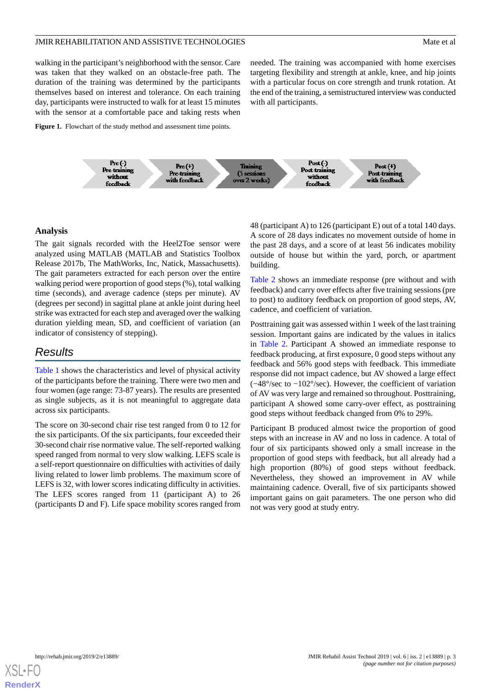walking in the participant's neighborhood with the sensor. Care was taken that they walked on an obstacle-free path. The duration of the training was determined by the participants themselves based on interest and tolerance. On each training day, participants were instructed to walk for at least 15 minutes with the sensor at a comfortable pace and taking rests when

needed. The training was accompanied with home exercises targeting flexibility and strength at ankle, knee, and hip joints with a particular focus on core strength and trunk rotation. At the end of the training, a semistructured interview was conducted with all participants.

#### <span id="page-2-0"></span>Figure 1. Flowchart of the study method and assessment time points.



#### **Analysis**

The gait signals recorded with the Heel2Toe sensor were analyzed using MATLAB (MATLAB and Statistics Toolbox Release 2017b, The MathWorks, Inc, Natick, Massachusetts). The gait parameters extracted for each person over the entire walking period were proportion of good steps (%), total walking time (seconds), and average cadence (steps per minute). AV (degrees per second) in sagittal plane at ankle joint during heel strike was extracted for each step and averaged over the walking duration yielding mean, SD, and coefficient of variation (an indicator of consistency of stepping).

## *Results*

[Table 1](#page-3-0) shows the characteristics and level of physical activity of the participants before the training. There were two men and four women (age range: 73-87 years). The results are presented as single subjects, as it is not meaningful to aggregate data across six participants.

The score on 30-second chair rise test ranged from 0 to 12 for the six participants. Of the six participants, four exceeded their 30-second chair rise normative value. The self-reported walking speed ranged from normal to very slow walking. LEFS scale is a self-report questionnaire on difficulties with activities of daily living related to lower limb problems. The maximum score of LEFS is 32, with lower scores indicating difficulty in activities. The LEFS scores ranged from 11 (participant A) to 26 (participants D and F). Life space mobility scores ranged from

48 (participant A) to 126 (participant E) out of a total 140 days. A score of 28 days indicates no movement outside of home in the past 28 days, and a score of at least 56 indicates mobility outside of house but within the yard, porch, or apartment building.

[Table 2](#page-4-0) shows an immediate response (pre without and with feedback) and carry over effects after five training sessions (pre to post) to auditory feedback on proportion of good steps, AV, cadence, and coefficient of variation.

Posttraining gait was assessed within 1 week of the last training session. Important gains are indicated by the values in italics in [Table 2.](#page-4-0) Participant A showed an immediate response to feedback producing, at first exposure, 0 good steps without any feedback and 56% good steps with feedback. This immediate response did not impact cadence, but AV showed a large effect (−48°/sec to −102°/sec). However, the coefficient of variation of AV was very large and remained so throughout. Posttraining, participant A showed some carry-over effect, as posttraining good steps without feedback changed from 0% to 29%.

Participant B produced almost twice the proportion of good steps with an increase in AV and no loss in cadence. A total of four of six participants showed only a small increase in the proportion of good steps with feedback, but all already had a high proportion (80%) of good steps without feedback. Nevertheless, they showed an improvement in AV while maintaining cadence. Overall, five of six participants showed important gains on gait parameters. The one person who did not was very good at study entry.

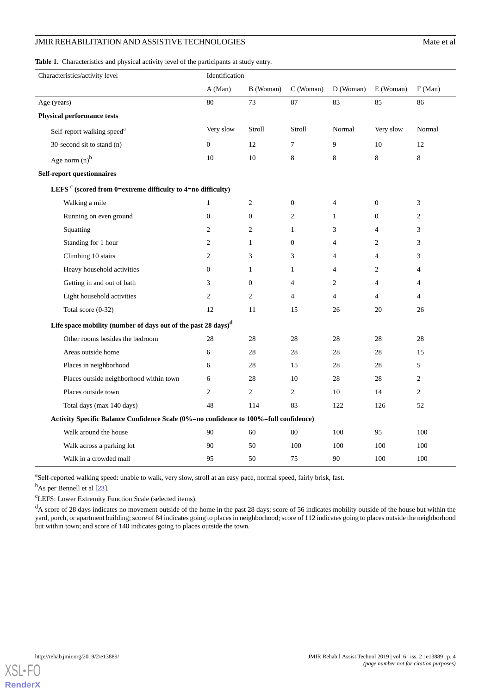## JMIR REHABILITATION AND ASSISTIVE TECHNOLOGIES

<span id="page-3-0"></span>**Table 1.** Characteristics and physical activity level of the participants at study entry.

| Characteristics/activity level                                                        | Identification   |                  |                |                          |                |                |  |  |
|---------------------------------------------------------------------------------------|------------------|------------------|----------------|--------------------------|----------------|----------------|--|--|
|                                                                                       | A (Man)          | B (Woman)        | C (Woman)      | D (Woman)                | E (Woman)      | F(Man)         |  |  |
| Age (years)                                                                           | 80               | 73               | 87             | 83                       | 85             | 86             |  |  |
| <b>Physical performance tests</b>                                                     |                  |                  |                |                          |                |                |  |  |
| Self-report walking speed <sup>a</sup>                                                | Very slow        | Stroll           | Stroll         | Normal                   | Very slow      | Normal         |  |  |
| 30-second sit to stand (n)                                                            | $\theta$         | 12               | 7              | 9                        | 10             | 12             |  |  |
| Age norm $(n)^{b}$                                                                    | 10               | 10               | 8              | $\,8\,$                  | $8\,$          | $8\,$          |  |  |
| <b>Self-report questionnaires</b>                                                     |                  |                  |                |                          |                |                |  |  |
| LEFS <sup>c</sup> (scored from 0=extreme difficulty to 4=no difficulty)               |                  |                  |                |                          |                |                |  |  |
| Walking a mile                                                                        | $\mathbf{1}$     | $\overline{c}$   | $\mathbf{0}$   | $\overline{\mathcal{L}}$ | $\mathbf{0}$   | 3              |  |  |
| Running on even ground                                                                | $\boldsymbol{0}$ | $\boldsymbol{0}$ | $\overline{c}$ | $\mathbf{1}$             | $\mathbf{0}$   | $\overline{c}$ |  |  |
| Squatting                                                                             | 2                | $\overline{c}$   | $\mathbf{1}$   | 3                        | $\overline{4}$ | 3              |  |  |
| Standing for 1 hour                                                                   | $\overline{2}$   | $\mathbf{1}$     | $\overline{0}$ | $\overline{4}$           | 2              | 3              |  |  |
| Climbing 10 stairs                                                                    | 2                | 3                | 3              | $\overline{4}$           | 4              | 3              |  |  |
| Heavy household activities                                                            | $\boldsymbol{0}$ | $\mathbf{1}$     | $\mathbf{1}$   | $\overline{4}$           | 2              | $\overline{4}$ |  |  |
| Getting in and out of bath                                                            | 3                | $\boldsymbol{0}$ | $\overline{4}$ | $\mathfrak{2}$           | 4              | $\overline{4}$ |  |  |
| Light household activities                                                            | $\overline{c}$   | $\overline{c}$   | $\overline{4}$ | $\overline{4}$           | 4              | $\overline{4}$ |  |  |
| Total score (0-32)                                                                    | 12               | 11               | 15             | 26                       | 20             | 26             |  |  |
| Life space mobility (number of days out of the past 28 days) <sup>d</sup>             |                  |                  |                |                          |                |                |  |  |
| Other rooms besides the bedroom                                                       | 28               | 28               | 28             | 28                       | 28             | 28             |  |  |
| Areas outside home                                                                    | 6                | 28               | 28             | 28                       | 28             | 15             |  |  |
| Places in neighborhood                                                                | 6                | 28               | 15             | 28                       | 28             | 5              |  |  |
| Places outside neighborhood within town                                               | 6                | 28               | 10             | 28                       | 28             | $\overline{c}$ |  |  |
| Places outside town                                                                   | $\overline{2}$   | $\overline{c}$   | $\overline{c}$ | 10                       | 14             | $\overline{2}$ |  |  |
| Total days (max 140 days)                                                             | 48               | 114              | 83             | 122                      | 126            | 52             |  |  |
| Activity Specific Balance Confidence Scale (0%=no confidence to 100%=full confidence) |                  |                  |                |                          |                |                |  |  |
| Walk around the house                                                                 | 90               | 60               | 80             | 100                      | 95             | 100            |  |  |
| Walk across a parking lot                                                             | 90               | 50               | 100            | 100                      | 100            | 100            |  |  |
| Walk in a crowded mall                                                                | 95               | 50               | 75             | 90                       | 100            | 100            |  |  |

<sup>a</sup>Self-reported walking speed: unable to walk, very slow, stroll at an easy pace, normal speed, fairly brisk, fast.

<sup>b</sup>As per Bennell et al [\[23\]](#page-8-8).

<sup>c</sup>LEFS: Lower Extremity Function Scale (selected items).

<sup>d</sup>A score of 28 days indicates no movement outside of the home in the past 28 days; score of 56 indicates mobility outside of the house but within the yard, porch, or apartment building; score of 84 indicates going to places in neighborhood; score of 112 indicates going to places outside the neighborhood but within town; and score of 140 indicates going to places outside the town.

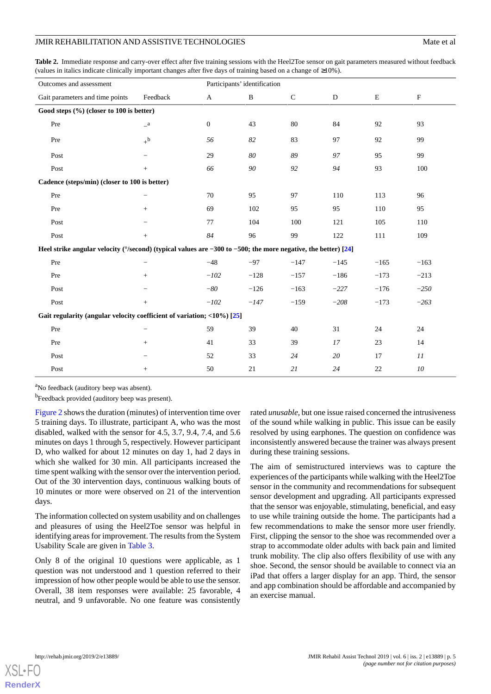<span id="page-4-0"></span>**Table 2.** Immediate response and carry-over effect after five training sessions with the Heel2Toe sensor on gait parameters measured without feedback (values in italics indicate clinically important changes after five days of training based on a change of ≥10%).

| Outcomes and assessment                                                                                                 |                          | Participants' identification |              |              |           |        |                           |  |
|-------------------------------------------------------------------------------------------------------------------------|--------------------------|------------------------------|--------------|--------------|-----------|--------|---------------------------|--|
| Gait parameters and time points                                                                                         | Feedback                 | $\mathbf{A}$                 | $\, {\bf B}$ | $\mathsf{C}$ | ${\bf D}$ | E      | $\boldsymbol{\mathrm{F}}$ |  |
| Good steps (%) (closer to 100 is better)                                                                                |                          |                              |              |              |           |        |                           |  |
| Pre                                                                                                                     | $\mathbf{a}$             | $\mathbf{0}$                 | 43           | 80           | 84        | 92     | 93                        |  |
| Pre                                                                                                                     | $+^{\rm b}$              | 56                           | 82           | 83           | 97        | 92     | 99                        |  |
| Post                                                                                                                    |                          | 29                           | $80\,$       | 89           | 97        | 95     | 99                        |  |
| Post                                                                                                                    | $^{+}$                   | 66                           | 90           | 92           | 94        | 93     | 100                       |  |
| Cadence (steps/min) (closer to 100 is better)                                                                           |                          |                              |              |              |           |        |                           |  |
| Pre                                                                                                                     | $\overline{\phantom{0}}$ | 70                           | 95           | 97           | 110       | 113    | 96                        |  |
| Pre                                                                                                                     | $^{+}$                   | 69                           | 102          | 95           | 95        | 110    | 95                        |  |
| Post                                                                                                                    |                          | 77                           | 104          | 100          | 121       | 105    | 110                       |  |
| Post                                                                                                                    | $+$                      | 84                           | 96           | 99           | 122       | 111    | 109                       |  |
| Heel strike angular velocity ( $\degree$ /second) (typical values are -300 to -500; the more negative, the better) [24] |                          |                              |              |              |           |        |                           |  |
| Pre                                                                                                                     |                          | $-48$                        | $-97$        | $-147$       | $-145$    | $-165$ | $-163$                    |  |
| Pre                                                                                                                     | $^{+}$                   | $-102$                       | $-128$       | $-157$       | $-186$    | $-173$ | $-213$                    |  |
| Post                                                                                                                    |                          | $-80$                        | $-126$       | $-163$       | $-227$    | $-176$ | $-250$                    |  |
| Post                                                                                                                    | $+$                      | $-102$                       | $-147$       | $-159$       | $-208$    | $-173$ | $-263$                    |  |
| Gait regularity (angular velocity coefficient of variation; $\langle 10\% \rangle$ [25]                                 |                          |                              |              |              |           |        |                           |  |
| Pre                                                                                                                     |                          | 59                           | 39           | 40           | 31        | 24     | 24                        |  |
| Pre                                                                                                                     | $^{+}$                   | 41                           | 33           | 39           | 17        | 23     | 14                        |  |
| Post                                                                                                                    |                          | 52                           | 33           | 24           | 20        | 17     | 11                        |  |
| Post                                                                                                                    | $+$                      | 50                           | 21           | 21           | 24        | 22     | ${\it 10}$                |  |

<sup>a</sup>No feedback (auditory beep was absent).

<sup>b</sup>Feedback provided (auditory beep was present).

[Figure 2](#page-5-0) shows the duration (minutes) of intervention time over 5 training days. To illustrate, participant A, who was the most disabled, walked with the sensor for 4.5, 3.7, 9.4, 7.4, and 5.6 minutes on days 1 through 5, respectively. However participant D, who walked for about 12 minutes on day 1, had 2 days in which she walked for 30 min. All participants increased the time spent walking with the sensor over the intervention period. Out of the 30 intervention days, continuous walking bouts of 10 minutes or more were observed on 21 of the intervention days.

The information collected on system usability and on challenges and pleasures of using the Heel2Toe sensor was helpful in identifying areas for improvement. The results from the System Usability Scale are given in [Table 3.](#page-5-1)

Only 8 of the original 10 questions were applicable, as 1 question was not understood and 1 question referred to their impression of how other people would be able to use the sensor. Overall, 38 item responses were available: 25 favorable, 4 neutral, and 9 unfavorable. No one feature was consistently

rated *unusable,* but one issue raised concerned the intrusiveness of the sound while walking in public. This issue can be easily resolved by using earphones. The question on confidence was inconsistently answered because the trainer was always present during these training sessions.

The aim of semistructured interviews was to capture the experiences of the participants while walking with the Heel2Toe sensor in the community and recommendations for subsequent sensor development and upgrading. All participants expressed that the sensor was enjoyable, stimulating, beneficial, and easy to use while training outside the home. The participants had a few recommendations to make the sensor more user friendly. First, clipping the sensor to the shoe was recommended over a strap to accommodate older adults with back pain and limited trunk mobility. The clip also offers flexibility of use with any shoe. Second, the sensor should be available to connect via an iPad that offers a larger display for an app. Third, the sensor and app combination should be affordable and accompanied by an exercise manual.

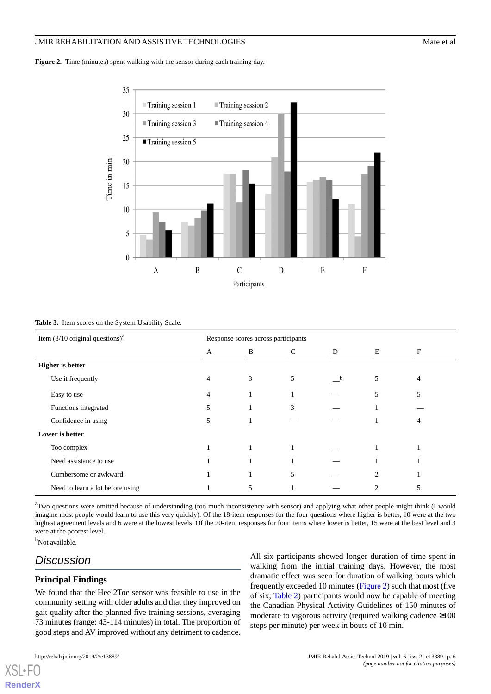#### JMIR REHABILITATION AND ASSISTIVE TECHNOLOGIES Mate of all the state of all the state of all the state of all the state of all the state of all the state of all the state of all the state of all the state of all the state

<span id="page-5-0"></span>Figure 2. Time (minutes) spent walking with the sensor during each training day.



#### <span id="page-5-1"></span>**Table 3.** Item scores on the System Usability Scale.

| Item $(8/10 \text{ original questions})^a$ | Response scores across participants |   |              |              |                |   |  |
|--------------------------------------------|-------------------------------------|---|--------------|--------------|----------------|---|--|
|                                            | $\overline{A}$                      | B | $\mathsf{C}$ | D            | E              | F |  |
| <b>Higher</b> is better                    |                                     |   |              |              |                |   |  |
| Use it frequently                          | $\overline{4}$                      | 3 | 5            | $\mathbf{b}$ | 5              | 4 |  |
| Easy to use                                | $\overline{4}$                      |   |              |              | 5              | 5 |  |
| Functions integrated                       | 5                                   |   | 3            |              |                |   |  |
| Confidence in using                        | 5                                   |   |              |              |                | 4 |  |
| Lower is better                            |                                     |   |              |              |                |   |  |
| Too complex                                |                                     |   |              |              |                |   |  |
| Need assistance to use                     |                                     |   | 1            |              |                |   |  |
| Cumbersome or awkward                      |                                     |   | 5            |              | $\overline{2}$ |   |  |
| Need to learn a lot before using           |                                     | 5 |              |              | $\mathfrak{D}$ | 5 |  |

<sup>a</sup>Two questions were omitted because of understanding (too much inconsistency with sensor) and applying what other people might think (I would imagine most people would learn to use this very quickly). Of the 18-item responses for the four questions where higher is better, 10 were at the two highest agreement levels and 6 were at the lowest levels. Of the 20-item responses for four items where lower is better, 15 were at the best level and 3 were at the poorest level.

b<sub>Not available.</sub>

[XSL](http://www.w3.org/Style/XSL)•FO **[RenderX](http://www.renderx.com/)**

# *Discussion*

## **Principal Findings**

We found that the Heel2Toe sensor was feasible to use in the community setting with older adults and that they improved on gait quality after the planned five training sessions, averaging 73 minutes (range: 43-114 minutes) in total. The proportion of good steps and AV improved without any detriment to cadence.

All six participants showed longer duration of time spent in walking from the initial training days. However, the most dramatic effect was seen for duration of walking bouts which frequently exceeded 10 minutes ([Figure 2](#page-5-0)) such that most (five of six; [Table 2\)](#page-4-0) participants would now be capable of meeting the Canadian Physical Activity Guidelines of 150 minutes of moderate to vigorous activity (required walking cadence ≥100 steps per minute) per week in bouts of 10 min.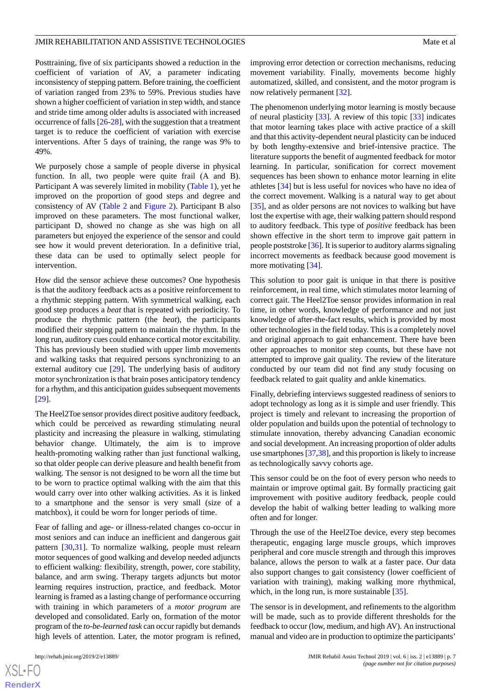Posttraining, five of six participants showed a reduction in the coefficient of variation of AV, a parameter indicating inconsistency of stepping pattern. Before training, the coefficient of variation ranged from 23% to 59%. Previous studies have shown a higher coefficient of variation in step width, and stance and stride time among older adults is associated with increased occurrence of falls [[26](#page-8-11)[-28](#page-8-12)], with the suggestion that a treatment target is to reduce the coefficient of variation with exercise interventions. After 5 days of training, the range was 9% to 49%.

We purposely chose a sample of people diverse in physical function. In all, two people were quite frail (A and B). Participant A was severely limited in mobility [\(Table 1\)](#page-3-0), yet he improved on the proportion of good steps and degree and consistency of AV ([Table 2](#page-4-0) and [Figure 2\)](#page-5-0). Participant B also improved on these parameters. The most functional walker, participant D, showed no change as she was high on all parameters but enjoyed the experience of the sensor and could see how it would prevent deterioration. In a definitive trial, these data can be used to optimally select people for intervention.

How did the sensor achieve these outcomes? One hypothesis is that the auditory feedback acts as a positive reinforcement to a rhythmic stepping pattern. With symmetrical walking, each good step produces a *beat* that is repeated with periodicity. To produce the rhythmic pattern (the *beat*), the participants modified their stepping pattern to maintain the rhythm. In the long run, auditory cues could enhance cortical motor excitability. This has previously been studied with upper limb movements and walking tasks that required persons synchronizing to an external auditory cue [\[29](#page-8-13)]. The underlying basis of auditory motor synchronization is that brain poses anticipatory tendency for a rhythm, and this anticipation guides subsequent movements [[29\]](#page-8-13).

The Heel2Toe sensor provides direct positive auditory feedback, which could be perceived as rewarding stimulating neural plasticity and increasing the pleasure in walking, stimulating behavior change. Ultimately, the aim is to improve health-promoting walking rather than just functional walking, so that older people can derive pleasure and health benefit from walking. The sensor is not designed to be worn all the time but to be worn to practice optimal walking with the aim that this would carry over into other walking activities. As it is linked to a smartphone and the sensor is very small (size of a matchbox), it could be worn for longer periods of time.

Fear of falling and age- or illness-related changes co-occur in most seniors and can induce an inefficient and dangerous gait pattern [\[30](#page-8-14)[,31](#page-8-15)]. To normalize walking, people must relearn motor sequences of good walking and develop needed adjuncts to efficient walking: flexibility, strength, power, core stability, balance, and arm swing. Therapy targets adjuncts but motor learning requires instruction, practice, and feedback. Motor learning is framed as a lasting change of performance occurring with training in which parameters of a *motor program* are developed and consolidated. Early on, formation of the motor program of the *to-be-learned task* can occur rapidly but demands high levels of attention. Later, the motor program is refined,

 $XS$ -FO **[RenderX](http://www.renderx.com/)** improving error detection or correction mechanisms, reducing movement variability. Finally, movements become highly automatized, skilled, and consistent, and the motor program is now relatively permanent [\[32](#page-8-16)].

The phenomenon underlying motor learning is mostly because of neural plasticity [\[33](#page-8-17)]. A review of this topic [[33\]](#page-8-17) indicates that motor learning takes place with active practice of a skill and that this activity-dependent neural plasticity can be induced by both lengthy-extensive and brief-intensive practice. The literature supports the benefit of augmented feedback for motor learning. In particular, sonification for correct movement sequences has been shown to enhance motor learning in elite athletes [\[34](#page-8-18)] but is less useful for novices who have no idea of the correct movement. Walking is a natural way to get about [[35\]](#page-8-19), and as older persons are not novices to walking but have lost the expertise with age, their walking pattern should respond to auditory feedback. This type of *positive* feedback has been shown effective in the short term to improve gait pattern in people poststroke [\[36\]](#page-8-20). It is superior to auditory alarms signaling incorrect movements as feedback because good movement is more motivating [\[34](#page-8-18)].

This solution to poor gait is unique in that there is positive reinforcement, in real time, which stimulates motor learning of correct gait. The Heel2Toe sensor provides information in real time, in other words, knowledge of performance and not just knowledge of after-the-fact results, which is provided by most other technologies in the field today. This is a completely novel and original approach to gait enhancement. There have been other approaches to monitor step counts, but these have not attempted to improve gait quality. The review of the literature conducted by our team did not find any study focusing on feedback related to gait quality and ankle kinematics.

Finally, debriefing interviews suggested readiness of seniors to adopt technology as long as it is simple and user friendly. This project is timely and relevant to increasing the proportion of older population and builds upon the potential of technology to stimulate innovation, thereby advancing Canadian economic and social development. An increasing proportion of older adults use smartphones [\[37](#page-8-21),[38\]](#page-9-0), and this proportion is likely to increase as technologically savvy cohorts age.

This sensor could be on the foot of every person who needs to maintain or improve optimal gait. By formally practicing gait improvement with positive auditory feedback, people could develop the habit of walking better leading to walking more often and for longer.

Through the use of the Heel2Toe device, every step becomes therapeutic, engaging large muscle groups, which improves peripheral and core muscle strength and through this improves balance, allows the person to walk at a faster pace. Our data also support changes to gait consistency (lower coefficient of variation with training), making walking more rhythmical, which, in the long run, is more sustainable [\[35](#page-8-19)].

The sensor is in development, and refinements to the algorithm will be made, such as to provide different thresholds for the feedback to occur (low, medium, and high AV). An instructional manual and video are in production to optimize the participants'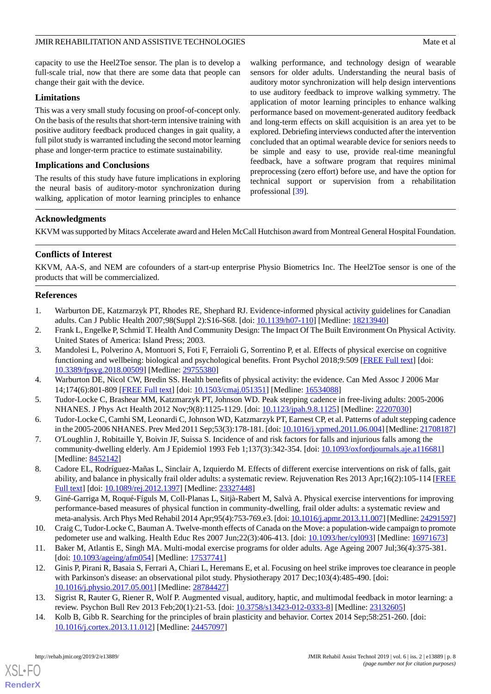capacity to use the Heel2Toe sensor. The plan is to develop a full-scale trial, now that there are some data that people can change their gait with the device.

#### **Limitations**

This was a very small study focusing on proof-of-concept only. On the basis of the results that short-term intensive training with positive auditory feedback produced changes in gait quality, a full pilot study is warranted including the second motor learning phase and longer-term practice to estimate sustainability.

#### **Implications and Conclusions**

The results of this study have future implications in exploring the neural basis of auditory-motor synchronization during walking, application of motor learning principles to enhance walking performance, and technology design of wearable sensors for older adults. Understanding the neural basis of auditory motor synchronization will help design interventions to use auditory feedback to improve walking symmetry. The application of motor learning principles to enhance walking performance based on movement-generated auditory feedback and long-term effects on skill acquisition is an area yet to be explored. Debriefing interviews conducted after the intervention concluded that an optimal wearable device for seniors needs to be simple and easy to use, provide real-time meaningful feedback, have a software program that requires minimal preprocessing (zero effort) before use, and have the option for technical support or supervision from a rehabilitation professional [\[39](#page-9-1)].

#### **Acknowledgments**

KKVM was supported by Mitacs Accelerate award and Helen McCall Hutchison award from Montreal General Hospital Foundation.

### **Conflicts of Interest**

<span id="page-7-0"></span>KKVM, AA-S, and NEM are cofounders of a start-up enterprise Physio Biometrics Inc. The Heel2Toe sensor is one of the products that will be commercialized.

#### <span id="page-7-1"></span>**References**

- <span id="page-7-2"></span>1. Warburton DE, Katzmarzyk PT, Rhodes RE, Shephard RJ. Evidence-informed physical activity guidelines for Canadian adults. Can J Public Health 2007;98(Suppl 2):S16-S68. [doi: [10.1139/h07-110](http://dx.doi.org/10.1139/h07-110)] [Medline: [18213940\]](http://www.ncbi.nlm.nih.gov/entrez/query.fcgi?cmd=Retrieve&db=PubMed&list_uids=18213940&dopt=Abstract)
- 2. Frank L, Engelke P, Schmid T. Health And Community Design: The Impact Of The Built Environment On Physical Activity. United States of America: Island Press; 2003.
- <span id="page-7-4"></span><span id="page-7-3"></span>3. Mandolesi L, Polverino A, Montuori S, Foti F, Ferraioli G, Sorrentino P, et al. Effects of physical exercise on cognitive functioning and wellbeing: biological and psychological benefits. Front Psychol 2018;9:509 [\[FREE Full text\]](https://doi.org/10.3389/fpsyg.2018.00509) [doi: [10.3389/fpsyg.2018.00509](http://dx.doi.org/10.3389/fpsyg.2018.00509)] [Medline: [29755380\]](http://www.ncbi.nlm.nih.gov/entrez/query.fcgi?cmd=Retrieve&db=PubMed&list_uids=29755380&dopt=Abstract)
- <span id="page-7-5"></span>4. Warburton DE, Nicol CW, Bredin SS. Health benefits of physical activity: the evidence. Can Med Assoc J 2006 Mar 14;174(6):801-809 [[FREE Full text](http://www.cmaj.ca/cgi/pmidlookup?view=long&pmid=16534088)] [doi: [10.1503/cmaj.051351\]](http://dx.doi.org/10.1503/cmaj.051351) [Medline: [16534088](http://www.ncbi.nlm.nih.gov/entrez/query.fcgi?cmd=Retrieve&db=PubMed&list_uids=16534088&dopt=Abstract)]
- <span id="page-7-6"></span>5. Tudor-Locke C, Brashear MM, Katzmarzyk PT, Johnson WD. Peak stepping cadence in free-living adults: 2005-2006 NHANES. J Phys Act Health 2012 Nov;9(8):1125-1129. [doi: [10.1123/jpah.9.8.1125\]](http://dx.doi.org/10.1123/jpah.9.8.1125) [Medline: [22207030\]](http://www.ncbi.nlm.nih.gov/entrez/query.fcgi?cmd=Retrieve&db=PubMed&list_uids=22207030&dopt=Abstract)
- <span id="page-7-7"></span>6. Tudor-Locke C, Camhi SM, Leonardi C, Johnson WD, Katzmarzyk PT, Earnest CP, et al. Patterns of adult stepping cadence in the 2005-2006 NHANES. Prev Med 2011 Sep;53(3):178-181. [doi: [10.1016/j.ypmed.2011.06.004](http://dx.doi.org/10.1016/j.ypmed.2011.06.004)] [Medline: [21708187](http://www.ncbi.nlm.nih.gov/entrez/query.fcgi?cmd=Retrieve&db=PubMed&list_uids=21708187&dopt=Abstract)]
- <span id="page-7-8"></span>7. O'Loughlin J, Robitaille Y, Boivin JF, Suissa S. Incidence of and risk factors for falls and injurious falls among the community-dwelling elderly. Am J Epidemiol 1993 Feb 1;137(3):342-354. [doi: [10.1093/oxfordjournals.aje.a116681](http://dx.doi.org/10.1093/oxfordjournals.aje.a116681)] [Medline: [8452142\]](http://www.ncbi.nlm.nih.gov/entrez/query.fcgi?cmd=Retrieve&db=PubMed&list_uids=8452142&dopt=Abstract)
- <span id="page-7-9"></span>8. Cadore EL, Rodríguez-Mañas L, Sinclair A, Izquierdo M. Effects of different exercise interventions on risk of falls, gait ability, and balance in physically frail older adults: a systematic review. Rejuvenation Res 2013 Apr;16(2):105-114 [\[FREE](http://europepmc.org/abstract/MED/23327448) [Full text\]](http://europepmc.org/abstract/MED/23327448) [doi: [10.1089/rej.2012.1397](http://dx.doi.org/10.1089/rej.2012.1397)] [Medline: [23327448\]](http://www.ncbi.nlm.nih.gov/entrez/query.fcgi?cmd=Retrieve&db=PubMed&list_uids=23327448&dopt=Abstract)
- <span id="page-7-11"></span><span id="page-7-10"></span>9. Giné-Garriga M, Roqué-Fíguls M, Coll-Planas L, Sitjà-Rabert M, Salvà A. Physical exercise interventions for improving performance-based measures of physical function in community-dwelling, frail older adults: a systematic review and meta-analysis. Arch Phys Med Rehabil 2014 Apr;95(4):753-769.e3. [doi: [10.1016/j.apmr.2013.11.007](http://dx.doi.org/10.1016/j.apmr.2013.11.007)] [Medline: [24291597\]](http://www.ncbi.nlm.nih.gov/entrez/query.fcgi?cmd=Retrieve&db=PubMed&list_uids=24291597&dopt=Abstract)
- 10. Craig C, Tudor-Locke C, Bauman A. Twelve-month effects of Canada on the Move: a population-wide campaign to promote pedometer use and walking. Health Educ Res 2007 Jun;22(3):406-413. [doi: [10.1093/her/cyl093](http://dx.doi.org/10.1093/her/cyl093)] [Medline: [16971673\]](http://www.ncbi.nlm.nih.gov/entrez/query.fcgi?cmd=Retrieve&db=PubMed&list_uids=16971673&dopt=Abstract)
- <span id="page-7-13"></span><span id="page-7-12"></span>11. Baker M, Atlantis E, Singh MA. Multi-modal exercise programs for older adults. Age Ageing 2007 Jul;36(4):375-381. [doi: [10.1093/ageing/afm054](http://dx.doi.org/10.1093/ageing/afm054)] [Medline: [17537741\]](http://www.ncbi.nlm.nih.gov/entrez/query.fcgi?cmd=Retrieve&db=PubMed&list_uids=17537741&dopt=Abstract)
- 12. Ginis P, Pirani R, Basaia S, Ferrari A, Chiari L, Heremans E, et al. Focusing on heel strike improves toe clearance in people with Parkinson's disease: an observational pilot study. Physiotherapy 2017 Dec;103(4):485-490. [doi: [10.1016/j.physio.2017.05.001](http://dx.doi.org/10.1016/j.physio.2017.05.001)] [Medline: [28784427\]](http://www.ncbi.nlm.nih.gov/entrez/query.fcgi?cmd=Retrieve&db=PubMed&list_uids=28784427&dopt=Abstract)
- 13. Sigrist R, Rauter G, Riener R, Wolf P. Augmented visual, auditory, haptic, and multimodal feedback in motor learning: a review. Psychon Bull Rev 2013 Feb;20(1):21-53. [doi: [10.3758/s13423-012-0333-8\]](http://dx.doi.org/10.3758/s13423-012-0333-8) [Medline: [23132605](http://www.ncbi.nlm.nih.gov/entrez/query.fcgi?cmd=Retrieve&db=PubMed&list_uids=23132605&dopt=Abstract)]
- 14. Kolb B, Gibb R. Searching for the principles of brain plasticity and behavior. Cortex 2014 Sep;58:251-260. [doi: [10.1016/j.cortex.2013.11.012](http://dx.doi.org/10.1016/j.cortex.2013.11.012)] [Medline: [24457097](http://www.ncbi.nlm.nih.gov/entrez/query.fcgi?cmd=Retrieve&db=PubMed&list_uids=24457097&dopt=Abstract)]

[XSL](http://www.w3.org/Style/XSL)•FO **[RenderX](http://www.renderx.com/)**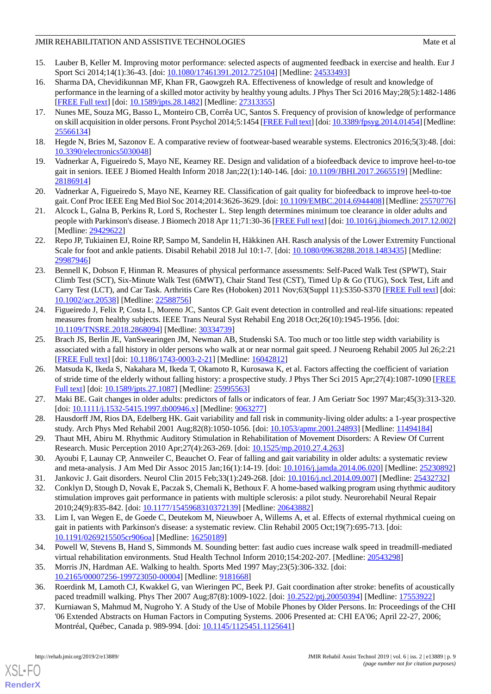## JMIR REHABILITATION AND ASSISTIVE TECHNOLOGIES Mate of all the state of all the state of all the state of all the state of all the state of all the state of all the state of all the state of all the state of all the state

- <span id="page-8-0"></span>15. Lauber B, Keller M. Improving motor performance: selected aspects of augmented feedback in exercise and health. Eur J Sport Sci 2014;14(1):36-43. [doi: [10.1080/17461391.2012.725104](http://dx.doi.org/10.1080/17461391.2012.725104)] [Medline: [24533493\]](http://www.ncbi.nlm.nih.gov/entrez/query.fcgi?cmd=Retrieve&db=PubMed&list_uids=24533493&dopt=Abstract)
- <span id="page-8-1"></span>16. Sharma DA, Chevidikunnan MF, Khan FR, Gaowgzeh RA. Effectiveness of knowledge of result and knowledge of performance in the learning of a skilled motor activity by healthy young adults. J Phys Ther Sci 2016 May;28(5):1482-1486 [[FREE Full text](http://europepmc.org/abstract/MED/27313355)] [doi: [10.1589/jpts.28.1482](http://dx.doi.org/10.1589/jpts.28.1482)] [Medline: [27313355\]](http://www.ncbi.nlm.nih.gov/entrez/query.fcgi?cmd=Retrieve&db=PubMed&list_uids=27313355&dopt=Abstract)
- <span id="page-8-2"></span>17. Nunes ME, Souza MG, Basso L, Monteiro CB, Corrêa UC, Santos S. Frequency of provision of knowledge of performance on skill acquisition in older persons. Front Psychol 2014;5:1454 [\[FREE Full text\]](https://doi.org/10.3389/fpsyg.2014.01454) [doi: [10.3389/fpsyg.2014.01454\]](http://dx.doi.org/10.3389/fpsyg.2014.01454) [Medline: [25566134](http://www.ncbi.nlm.nih.gov/entrez/query.fcgi?cmd=Retrieve&db=PubMed&list_uids=25566134&dopt=Abstract)]
- <span id="page-8-4"></span><span id="page-8-3"></span>18. Hegde N, Bries M, Sazonov E. A comparative review of footwear-based wearable systems. Electronics 2016;5(3):48. [doi: [10.3390/electronics5030048](http://dx.doi.org/10.3390/electronics5030048)]
- <span id="page-8-5"></span>19. Vadnerkar A, Figueiredo S, Mayo NE, Kearney RE. Design and validation of a biofeedback device to improve heel-to-toe gait in seniors. IEEE J Biomed Health Inform 2018 Jan; 22(1): 140-146. [doi: [10.1109/JBHI.2017.2665519\]](http://dx.doi.org/10.1109/JBHI.2017.2665519) [Medline: [28186914](http://www.ncbi.nlm.nih.gov/entrez/query.fcgi?cmd=Retrieve&db=PubMed&list_uids=28186914&dopt=Abstract)]
- <span id="page-8-6"></span>20. Vadnerkar A, Figueiredo S, Mayo NE, Kearney RE. Classification of gait quality for biofeedback to improve heel-to-toe gait. Conf Proc IEEE Eng Med Biol Soc 2014;2014:3626-3629. [doi: [10.1109/EMBC.2014.6944408\]](http://dx.doi.org/10.1109/EMBC.2014.6944408) [Medline: [25570776](http://www.ncbi.nlm.nih.gov/entrez/query.fcgi?cmd=Retrieve&db=PubMed&list_uids=25570776&dopt=Abstract)]
- <span id="page-8-7"></span>21. Alcock L, Galna B, Perkins R, Lord S, Rochester L. Step length determines minimum toe clearance in older adults and people with Parkinson's disease. J Biomech 2018 Apr 11;71:30-36 [[FREE Full text\]](https://linkinghub.elsevier.com/retrieve/pii/S0021-9290(17)30706-6) [doi: [10.1016/j.jbiomech.2017.12.002](http://dx.doi.org/10.1016/j.jbiomech.2017.12.002)] [Medline: [29429622](http://www.ncbi.nlm.nih.gov/entrez/query.fcgi?cmd=Retrieve&db=PubMed&list_uids=29429622&dopt=Abstract)]
- <span id="page-8-8"></span>22. Repo JP, Tukiainen EJ, Roine RP, Sampo M, Sandelin H, Häkkinen AH. Rasch analysis of the Lower Extremity Functional Scale for foot and ankle patients. Disabil Rehabil 2018 Jul 10:1-7. [doi: [10.1080/09638288.2018.1483435](http://dx.doi.org/10.1080/09638288.2018.1483435)] [Medline: [29987946](http://www.ncbi.nlm.nih.gov/entrez/query.fcgi?cmd=Retrieve&db=PubMed&list_uids=29987946&dopt=Abstract)]
- <span id="page-8-9"></span>23. Bennell K, Dobson F, Hinman R. Measures of physical performance assessments: Self-Paced Walk Test (SPWT), Stair Climb Test (SCT), Six-Minute Walk Test (6MWT), Chair Stand Test (CST), Timed Up & Go (TUG), Sock Test, Lift and Carry Test (LCT), and Car Task. Arthritis Care Res (Hoboken) 2011 Nov;63(Suppl 11):S350-S370 [[FREE Full text](https://doi.org/10.1002/acr.20538)] [doi: [10.1002/acr.20538\]](http://dx.doi.org/10.1002/acr.20538) [Medline: [22588756\]](http://www.ncbi.nlm.nih.gov/entrez/query.fcgi?cmd=Retrieve&db=PubMed&list_uids=22588756&dopt=Abstract)
- <span id="page-8-10"></span>24. Figueiredo J, Felix P, Costa L, Moreno JC, Santos CP. Gait event detection in controlled and real-life situations: repeated measures from healthy subjects. IEEE Trans Neural Syst Rehabil Eng 2018 Oct;26(10):1945-1956. [doi: [10.1109/TNSRE.2018.2868094\]](http://dx.doi.org/10.1109/TNSRE.2018.2868094) [Medline: [30334739](http://www.ncbi.nlm.nih.gov/entrez/query.fcgi?cmd=Retrieve&db=PubMed&list_uids=30334739&dopt=Abstract)]
- <span id="page-8-11"></span>25. Brach JS, Berlin JE, VanSwearingen JM, Newman AB, Studenski SA. Too much or too little step width variability is associated with a fall history in older persons who walk at or near normal gait speed. J Neuroeng Rehabil 2005 Jul 26;2:21 [[FREE Full text](https://jneuroengrehab.biomedcentral.com/articles/10.1186/1743-0003-2-21)] [doi: [10.1186/1743-0003-2-21\]](http://dx.doi.org/10.1186/1743-0003-2-21) [Medline: [16042812\]](http://www.ncbi.nlm.nih.gov/entrez/query.fcgi?cmd=Retrieve&db=PubMed&list_uids=16042812&dopt=Abstract)
- <span id="page-8-12"></span>26. Matsuda K, Ikeda S, Nakahara M, Ikeda T, Okamoto R, Kurosawa K, et al. Factors affecting the coefficient of variation of stride time of the elderly without falling history: a prospective study. J Phys Ther Sci 2015 Apr;27(4):1087-1090 [\[FREE](http://europepmc.org/abstract/MED/25995563) [Full text\]](http://europepmc.org/abstract/MED/25995563) [doi: [10.1589/jpts.27.1087\]](http://dx.doi.org/10.1589/jpts.27.1087) [Medline: [25995563\]](http://www.ncbi.nlm.nih.gov/entrez/query.fcgi?cmd=Retrieve&db=PubMed&list_uids=25995563&dopt=Abstract)
- <span id="page-8-13"></span>27. Maki BE. Gait changes in older adults: predictors of falls or indicators of fear. J Am Geriatr Soc 1997 Mar;45(3):313-320. [doi: [10.1111/j.1532-5415.1997.tb00946.x](http://dx.doi.org/10.1111/j.1532-5415.1997.tb00946.x)] [Medline: [9063277\]](http://www.ncbi.nlm.nih.gov/entrez/query.fcgi?cmd=Retrieve&db=PubMed&list_uids=9063277&dopt=Abstract)
- <span id="page-8-14"></span>28. Hausdorff JM, Rios DA, Edelberg HK. Gait variability and fall risk in community-living older adults: a 1-year prospective study. Arch Phys Med Rehabil 2001 Aug;82(8):1050-1056. [doi: [10.1053/apmr.2001.24893](http://dx.doi.org/10.1053/apmr.2001.24893)] [Medline: [11494184](http://www.ncbi.nlm.nih.gov/entrez/query.fcgi?cmd=Retrieve&db=PubMed&list_uids=11494184&dopt=Abstract)]
- <span id="page-8-16"></span><span id="page-8-15"></span>29. Thaut MH, Abiru M. Rhythmic Auditory Stimulation in Rehabilitation of Movement Disorders: A Review Of Current Research. Music Perception 2010 Apr;27(4):263-269. [doi: [10.1525/mp.2010.27.4.263\]](http://dx.doi.org/10.1525/mp.2010.27.4.263)
- <span id="page-8-17"></span>30. Ayoubi F, Launay CP, Annweiler C, Beauchet O. Fear of falling and gait variability in older adults: a systematic review and meta-analysis. J Am Med Dir Assoc 2015 Jan;16(1):14-19. [doi: [10.1016/j.jamda.2014.06.020](http://dx.doi.org/10.1016/j.jamda.2014.06.020)] [Medline: [25230892\]](http://www.ncbi.nlm.nih.gov/entrez/query.fcgi?cmd=Retrieve&db=PubMed&list_uids=25230892&dopt=Abstract)
- 31. Jankovic J. Gait disorders. Neurol Clin 2015 Feb;33(1):249-268. [doi: [10.1016/j.ncl.2014.09.007](http://dx.doi.org/10.1016/j.ncl.2014.09.007)] [Medline: [25432732](http://www.ncbi.nlm.nih.gov/entrez/query.fcgi?cmd=Retrieve&db=PubMed&list_uids=25432732&dopt=Abstract)]
- <span id="page-8-18"></span>32. Conklyn D, Stough D, Novak E, Paczak S, Chemali K, Bethoux F. A home-based walking program using rhythmic auditory stimulation improves gait performance in patients with multiple sclerosis: a pilot study. Neurorehabil Neural Repair 2010;24(9):835-842. [doi: [10.1177/1545968310372139\]](http://dx.doi.org/10.1177/1545968310372139) [Medline: [20643882](http://www.ncbi.nlm.nih.gov/entrez/query.fcgi?cmd=Retrieve&db=PubMed&list_uids=20643882&dopt=Abstract)]
- <span id="page-8-20"></span><span id="page-8-19"></span>33. Lim I, van Wegen E, de Goede C, Deutekom M, Nieuwboer A, Willems A, et al. Effects of external rhythmical cueing on gait in patients with Parkinson's disease: a systematic review. Clin Rehabil 2005 Oct;19(7):695-713. [doi: [10.1191/0269215505cr906oa](http://dx.doi.org/10.1191/0269215505cr906oa)] [Medline: [16250189\]](http://www.ncbi.nlm.nih.gov/entrez/query.fcgi?cmd=Retrieve&db=PubMed&list_uids=16250189&dopt=Abstract)
- <span id="page-8-21"></span>34. Powell W, Stevens B, Hand S, Simmonds M. Sounding better: fast audio cues increase walk speed in treadmill-mediated virtual rehabilitation environments. Stud Health Technol Inform 2010;154:202-207. [Medline: [20543298\]](http://www.ncbi.nlm.nih.gov/entrez/query.fcgi?cmd=Retrieve&db=PubMed&list_uids=20543298&dopt=Abstract)
- 35. Morris JN, Hardman AE. Walking to health. Sports Med 1997 May;23(5):306-332. [doi: [10.2165/00007256-199723050-00004](http://dx.doi.org/10.2165/00007256-199723050-00004)] [Medline: [9181668](http://www.ncbi.nlm.nih.gov/entrez/query.fcgi?cmd=Retrieve&db=PubMed&list_uids=9181668&dopt=Abstract)]
- 36. Roerdink M, Lamoth CJ, Kwakkel G, van Wieringen PC, Beek PJ. Gait coordination after stroke: benefits of acoustically paced treadmill walking. Phys Ther 2007 Aug;87(8):1009-1022. [doi: [10.2522/ptj.20050394](http://dx.doi.org/10.2522/ptj.20050394)] [Medline: [17553922](http://www.ncbi.nlm.nih.gov/entrez/query.fcgi?cmd=Retrieve&db=PubMed&list_uids=17553922&dopt=Abstract)]
- 37. Kurniawan S, Mahmud M, Nugroho Y. A Study of the Use of Mobile Phones by Older Persons. In: Proceedings of the CHI '06 Extended Abstracts on Human Factors in Computing Systems. 2006 Presented at: CHI EA'06; April 22-27, 2006; Montréal, Québec, Canada p. 989-994. [doi: [10.1145/1125451.1125641\]](http://dx.doi.org/10.1145/1125451.1125641)

[XSL](http://www.w3.org/Style/XSL)•FO **[RenderX](http://www.renderx.com/)**